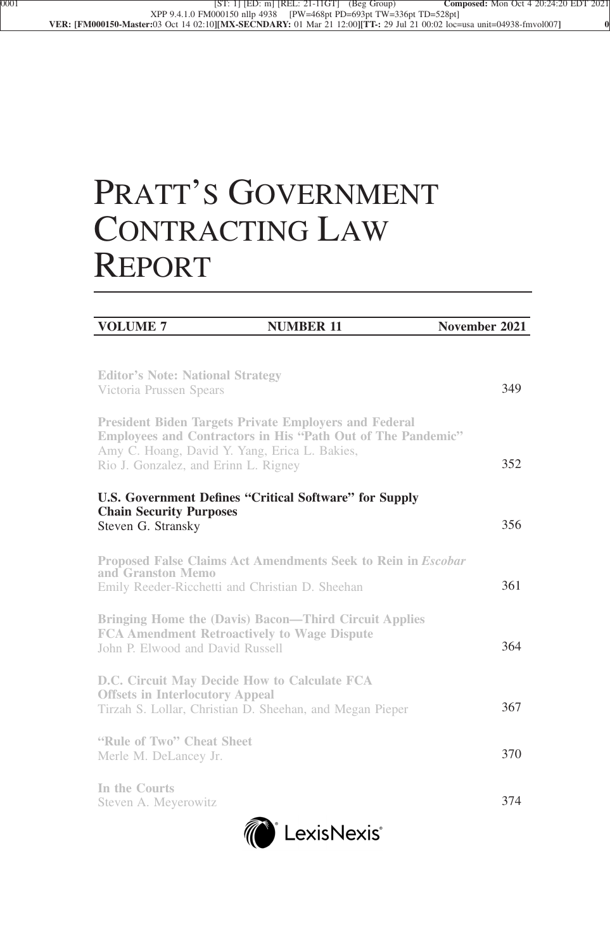# PRATT'S GOVERNMENT CONTRACTING LAW REPORT

| <b>VOLUME 7</b>                                                                                                                                       | <b>NUMBER 11</b>                                                   | November 2021 |     |
|-------------------------------------------------------------------------------------------------------------------------------------------------------|--------------------------------------------------------------------|---------------|-----|
|                                                                                                                                                       |                                                                    |               |     |
| <b>Editor's Note: National Strategy</b><br>Victoria Prussen Spears                                                                                    |                                                                    |               | 349 |
| <b>President Biden Targets Private Employers and Federal</b><br>Amy C. Hoang, David Y. Yang, Erica L. Bakies,<br>Rio J. Gonzalez, and Erinn L. Rigney | <b>Employees and Contractors in His "Path Out of The Pandemic"</b> |               | 352 |
| <b>Chain Security Purposes</b><br>Steven G. Stransky                                                                                                  | <b>U.S. Government Defines "Critical Software" for Supply</b>      |               | 356 |
| and Granston Memo<br>Emily Reeder-Ricchetti and Christian D. Sheehan                                                                                  | Proposed False Claims Act Amendments Seek to Rein in Escobar       |               | 361 |
| <b>FCA Amendment Retroactively to Wage Dispute</b><br>John P. Elwood and David Russell                                                                | <b>Bringing Home the (Davis) Bacon—Third Circuit Applies</b>       |               | 364 |
| D.C. Circuit May Decide How to Calculate FCA<br><b>Offsets in Interlocutory Appeal</b><br>Tirzah S. Lollar, Christian D. Sheehan, and Megan Pieper    |                                                                    |               | 367 |
| "Rule of Two" Cheat Sheet<br>Merle M. DeLancey Jr.                                                                                                    |                                                                    |               | 370 |
| In the Courts<br>Steven A. Meyerowitz                                                                                                                 |                                                                    |               | 374 |

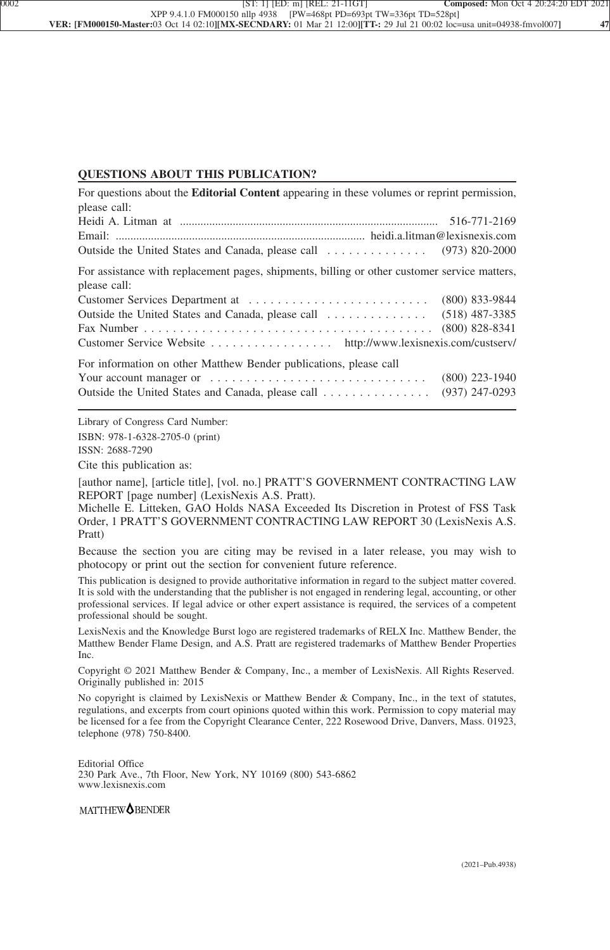### **QUESTIONS ABOUT THIS PUBLICATION?**

| For questions about the <b>Editorial Content</b> appearing in these volumes or reprint permission,           |                  |
|--------------------------------------------------------------------------------------------------------------|------------------|
| please call:                                                                                                 |                  |
|                                                                                                              |                  |
| For assistance with replacement pages, shipments, billing or other customer service matters,<br>please call: |                  |
|                                                                                                              | $(800)$ 833-9844 |
| Customer Service Website http://www.lexisnexis.com/custserv/                                                 | $(800)$ 828-8341 |
|                                                                                                              |                  |
| For information on other Matthew Bender publications, please call                                            |                  |
|                                                                                                              | $(800)$ 223-1940 |
| Outside the United States and Canada, please call                                                            | $(937)$ 247-0293 |

Library of Congress Card Number: ISBN: 978-1-6328-2705-0 (print) ISSN: 2688-7290

Cite this publication as:

[author name], [article title], [vol. no.] PRATT'S GOVERNMENT CONTRACTING LAW REPORT [page number] (LexisNexis A.S. Pratt).

Michelle E. Litteken, GAO Holds NASA Exceeded Its Discretion in Protest of FSS Task Order, 1 PRATT'S GOVERNMENT CONTRACTING LAW REPORT 30 (LexisNexis A.S. Pratt)

Because the section you are citing may be revised in a later release, you may wish to photocopy or print out the section for convenient future reference.

This publication is designed to provide authoritative information in regard to the subject matter covered. It is sold with the understanding that the publisher is not engaged in rendering legal, accounting, or other professional services. If legal advice or other expert assistance is required, the services of a competent professional should be sought.

LexisNexis and the Knowledge Burst logo are registered trademarks of RELX Inc. Matthew Bender, the Matthew Bender Flame Design, and A.S. Pratt are registered trademarks of Matthew Bender Properties Inc.

Copyright © 2021 Matthew Bender & Company, Inc., a member of LexisNexis. All Rights Reserved. Originally published in: 2015

No copyright is claimed by LexisNexis or Matthew Bender & Company, Inc., in the text of statutes, regulations, and excerpts from court opinions quoted within this work. Permission to copy material may be licensed for a fee from the Copyright Clearance Center, 222 Rosewood Drive, Danvers, Mass. 01923, telephone (978) 750-8400.

Editorial Office 230 Park Ave., 7th Floor, New York, NY 10169 (800) 543-6862 www.lexisnexis.com

MATTHEW**OBENDER**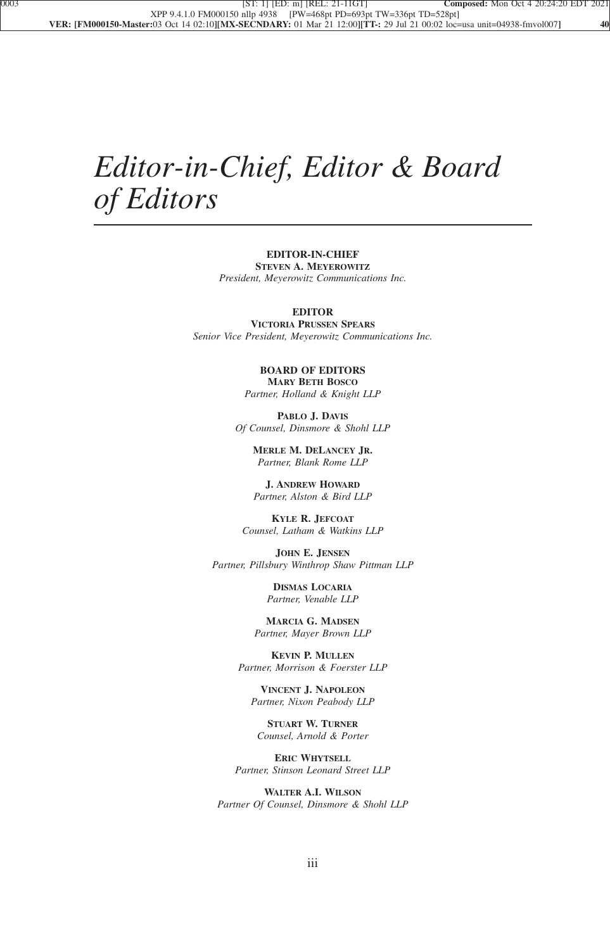## *Editor-in-Chief, Editor & Board of Editors*

**EDITOR-IN-CHIEF STEVEN A. MEYEROWITZ** *President, Meyerowitz Communications Inc.*

#### **EDITOR**

**VICTORIA PRUSSEN SPEARS** *Senior Vice President, Meyerowitz Communications Inc.*

> **BOARD OF EDITORS MARY BETH BOSCO** *Partner, Holland & Knight LLP*

**PABLO J. DAVIS** *Of Counsel, Dinsmore & Shohl LLP*

> **MERLE M. DELANCEY JR.** *Partner, Blank Rome LLP*

**J. ANDREW HOWARD** *Partner, Alston & Bird LLP*

**KYLE R. JEFCOAT** *Counsel, Latham & Watkins LLP*

**JOHN E. JENSEN** *Partner, Pillsbury Winthrop Shaw Pittman LLP*

> **DISMAS LOCARIA** *Partner, Venable LLP*

**MARCIA G. MADSEN** *Partner, Mayer Brown LLP*

**KEVIN P. MULLEN** *Partner, Morrison & Foerster LLP*

**VINCENT J. NAPOLEON** *Partner, Nixon Peabody LLP*

**STUART W. TURNER** *Counsel, Arnold & Porter*

**ERIC WHYTSELL** *Partner, Stinson Leonard Street LLP*

**WALTER A.I. WILSON** *Partner Of Counsel, Dinsmore & Shohl LLP*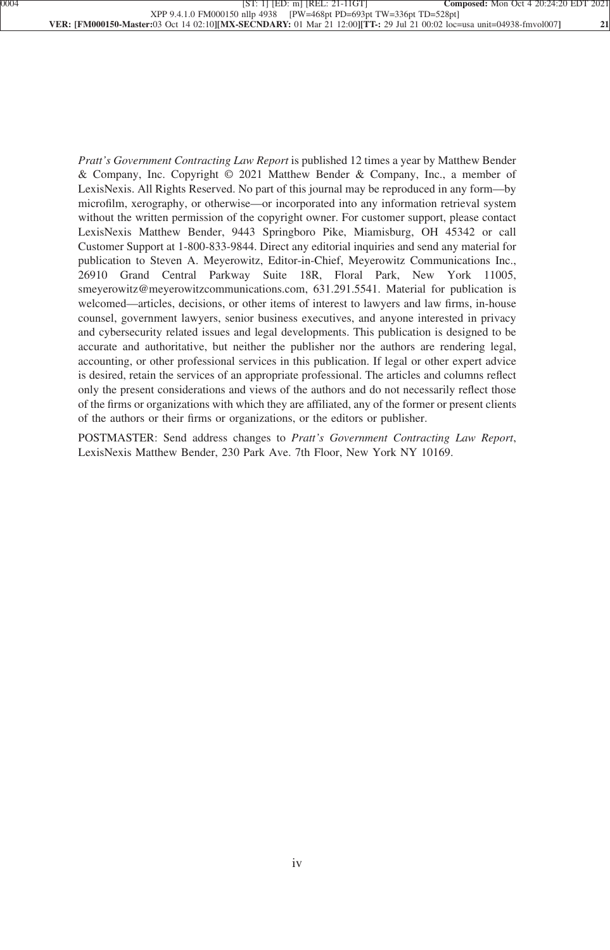*Pratt's Government Contracting Law Report* is published 12 times a year by Matthew Bender & Company, Inc. Copyright © 2021 Matthew Bender & Company, Inc., a member of LexisNexis. All Rights Reserved. No part of this journal may be reproduced in any form—by microfilm, xerography, or otherwise—or incorporated into any information retrieval system without the written permission of the copyright owner. For customer support, please contact LexisNexis Matthew Bender, 9443 Springboro Pike, Miamisburg, OH 45342 or call Customer Support at 1-800-833-9844. Direct any editorial inquiries and send any material for publication to Steven A. Meyerowitz, Editor-in-Chief, Meyerowitz Communications Inc., 26910 Grand Central Parkway Suite 18R, Floral Park, New York 11005, smeyerowitz@meyerowitzcommunications.com, 631.291.5541. Material for publication is welcomed—articles, decisions, or other items of interest to lawyers and law firms, in-house counsel, government lawyers, senior business executives, and anyone interested in privacy and cybersecurity related issues and legal developments. This publication is designed to be accurate and authoritative, but neither the publisher nor the authors are rendering legal, accounting, or other professional services in this publication. If legal or other expert advice is desired, retain the services of an appropriate professional. The articles and columns reflect only the present considerations and views of the authors and do not necessarily reflect those of the firms or organizations with which they are affiliated, any of the former or present clients of the authors or their firms or organizations, or the editors or publisher.

POSTMASTER: Send address changes to *Pratt's Government Contracting Law Report*, LexisNexis Matthew Bender, 230 Park Ave. 7th Floor, New York NY 10169.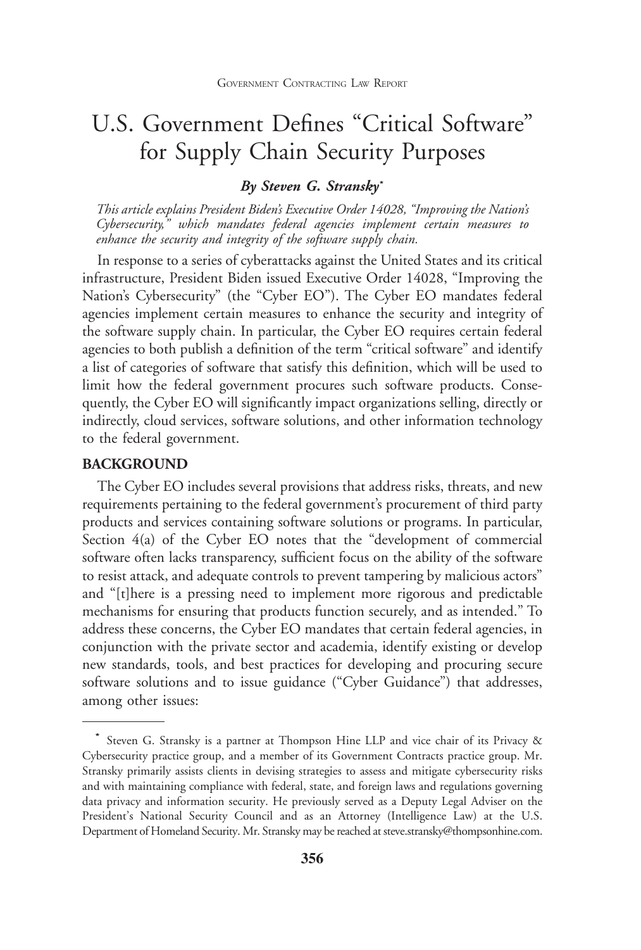### U.S. Government Defines "Critical Software" for Supply Chain Security Purposes

### *By Steven G. Stransky***\***

*This article explains President Biden's Executive Order 14028, "Improving the Nation's Cybersecurity," which mandates federal agencies implement certain measures to enhance the security and integrity of the software supply chain.*

In response to a series of cyberattacks against the United States and its critical infrastructure, President Biden issued Executive Order 14028, "Improving the Nation's Cybersecurity" (the "Cyber EO"). The Cyber EO mandates federal agencies implement certain measures to enhance the security and integrity of the software supply chain. In particular, the Cyber EO requires certain federal agencies to both publish a definition of the term "critical software" and identify a list of categories of software that satisfy this definition, which will be used to limit how the federal government procures such software products. Consequently, the Cyber EO will significantly impact organizations selling, directly or indirectly, cloud services, software solutions, and other information technology to the federal government.

### **BACKGROUND**

The Cyber EO includes several provisions that address risks, threats, and new requirements pertaining to the federal government's procurement of third party products and services containing software solutions or programs. In particular, Section 4(a) of the Cyber EO notes that the "development of commercial software often lacks transparency, sufficient focus on the ability of the software to resist attack, and adequate controls to prevent tampering by malicious actors" and "[t]here is a pressing need to implement more rigorous and predictable mechanisms for ensuring that products function securely, and as intended." To address these concerns, the Cyber EO mandates that certain federal agencies, in conjunction with the private sector and academia, identify existing or develop new standards, tools, and best practices for developing and procuring secure software solutions and to issue guidance ("Cyber Guidance") that addresses, among other issues:

**<sup>\*</sup>** Steven G. Stransky is a partner at Thompson Hine LLP and vice chair of its Privacy & Cybersecurity practice group, and a member of its Government Contracts practice group. Mr. Stransky primarily assists clients in devising strategies to assess and mitigate cybersecurity risks and with maintaining compliance with federal, state, and foreign laws and regulations governing data privacy and information security. He previously served as a Deputy Legal Adviser on the President's National Security Council and as an Attorney (Intelligence Law) at the U.S. Department of Homeland Security. Mr. Stransky may be reached at steve.stransky@thompsonhine.com.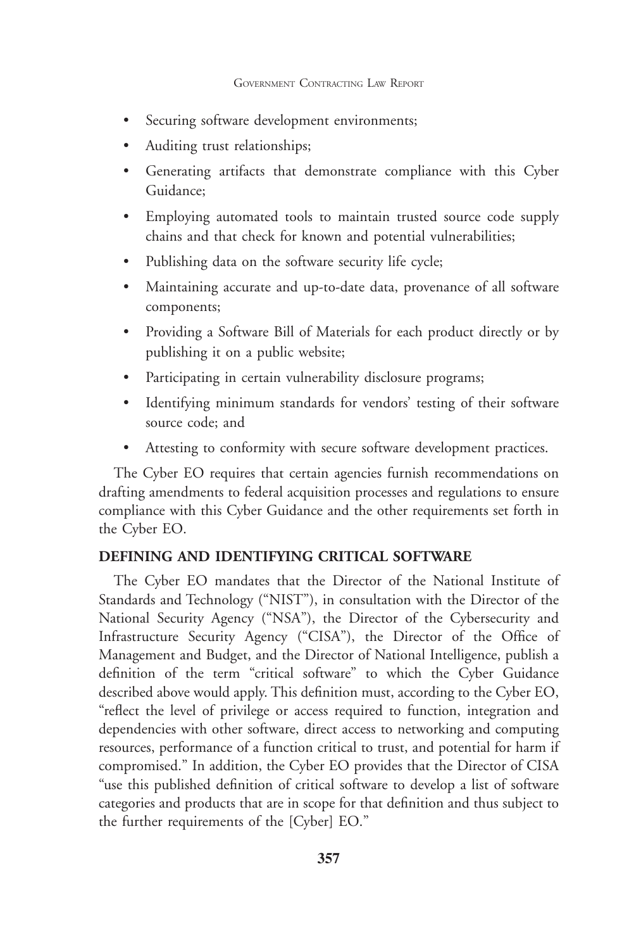- Securing software development environments;
- Auditing trust relationships;
- Generating artifacts that demonstrate compliance with this Cyber Guidance;
- Employing automated tools to maintain trusted source code supply chains and that check for known and potential vulnerabilities;
- Publishing data on the software security life cycle;
- Maintaining accurate and up-to-date data, provenance of all software components;
- Providing a Software Bill of Materials for each product directly or by publishing it on a public website;
- Participating in certain vulnerability disclosure programs;
- Identifying minimum standards for vendors' testing of their software source code; and
- Attesting to conformity with secure software development practices.

The Cyber EO requires that certain agencies furnish recommendations on drafting amendments to federal acquisition processes and regulations to ensure compliance with this Cyber Guidance and the other requirements set forth in the Cyber EO.

### **DEFINING AND IDENTIFYING CRITICAL SOFTWARE**

The Cyber EO mandates that the Director of the National Institute of Standards and Technology ("NIST"), in consultation with the Director of the National Security Agency ("NSA"), the Director of the Cybersecurity and Infrastructure Security Agency ("CISA"), the Director of the Office of Management and Budget, and the Director of National Intelligence, publish a definition of the term "critical software" to which the Cyber Guidance described above would apply. This definition must, according to the Cyber EO, "reflect the level of privilege or access required to function, integration and dependencies with other software, direct access to networking and computing resources, performance of a function critical to trust, and potential for harm if compromised." In addition, the Cyber EO provides that the Director of CISA "use this published definition of critical software to develop a list of software categories and products that are in scope for that definition and thus subject to the further requirements of the [Cyber] EO."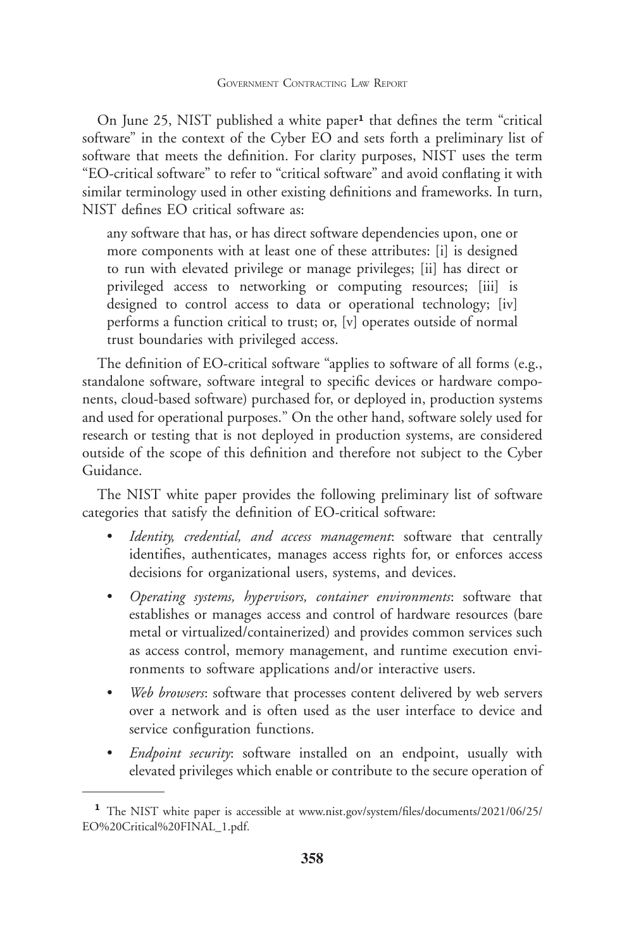On June 25, NIST published a white paper**<sup>1</sup>** that defines the term "critical software" in the context of the Cyber EO and sets forth a preliminary list of software that meets the definition. For clarity purposes, NIST uses the term "EO-critical software" to refer to "critical software" and avoid conflating it with similar terminology used in other existing definitions and frameworks. In turn, NIST defines EO critical software as:

any software that has, or has direct software dependencies upon, one or more components with at least one of these attributes: [i] is designed to run with elevated privilege or manage privileges; [ii] has direct or privileged access to networking or computing resources; [iii] is designed to control access to data or operational technology; [iv] performs a function critical to trust; or, [v] operates outside of normal trust boundaries with privileged access.

The definition of EO-critical software "applies to software of all forms (e.g., standalone software, software integral to specific devices or hardware components, cloud-based software) purchased for, or deployed in, production systems and used for operational purposes." On the other hand, software solely used for research or testing that is not deployed in production systems, are considered outside of the scope of this definition and therefore not subject to the Cyber Guidance.

The NIST white paper provides the following preliminary list of software categories that satisfy the definition of EO-critical software:

- *Identity, credential, and access management*: software that centrally identifies, authenticates, manages access rights for, or enforces access decisions for organizational users, systems, and devices.
- *Operating systems, hypervisors, container environments*: software that establishes or manages access and control of hardware resources (bare metal or virtualized/containerized) and provides common services such as access control, memory management, and runtime execution environments to software applications and/or interactive users.
- *Web browsers*: software that processes content delivered by web servers over a network and is often used as the user interface to device and service configuration functions.
- *Endpoint security*: software installed on an endpoint, usually with elevated privileges which enable or contribute to the secure operation of

**<sup>1</sup>** The NIST white paper is accessible at www.nist.gov/system/files/documents/2021/06/25/ EO%20Critical%20FINAL\_1.pdf.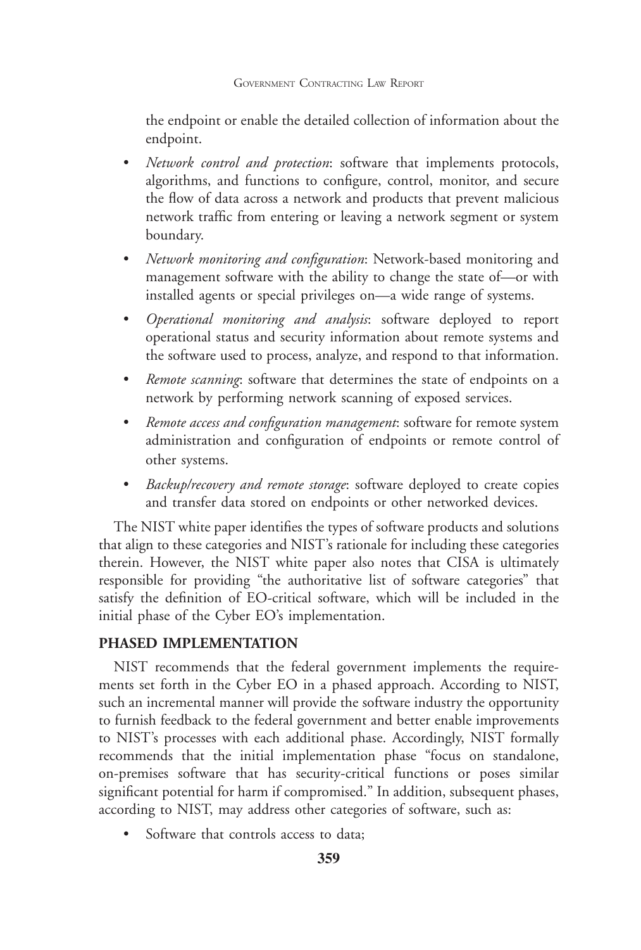the endpoint or enable the detailed collection of information about the endpoint.

- *Network control and protection*: software that implements protocols, algorithms, and functions to configure, control, monitor, and secure the flow of data across a network and products that prevent malicious network traffic from entering or leaving a network segment or system boundary.
- *Network monitoring and configuration*: Network-based monitoring and management software with the ability to change the state of—or with installed agents or special privileges on—a wide range of systems.
- *Operational monitoring and analysis*: software deployed to report operational status and security information about remote systems and the software used to process, analyze, and respond to that information.
- *Remote scanning*: software that determines the state of endpoints on a network by performing network scanning of exposed services.
- *Remote access and configuration management*: software for remote system administration and configuration of endpoints or remote control of other systems.
- *Backup/recovery and remote storage*: software deployed to create copies and transfer data stored on endpoints or other networked devices.

The NIST white paper identifies the types of software products and solutions that align to these categories and NIST's rationale for including these categories therein. However, the NIST white paper also notes that CISA is ultimately responsible for providing "the authoritative list of software categories" that satisfy the definition of EO-critical software, which will be included in the initial phase of the Cyber EO's implementation.

### **PHASED IMPLEMENTATION**

NIST recommends that the federal government implements the requirements set forth in the Cyber EO in a phased approach. According to NIST, such an incremental manner will provide the software industry the opportunity to furnish feedback to the federal government and better enable improvements to NIST's processes with each additional phase. Accordingly, NIST formally recommends that the initial implementation phase "focus on standalone, on-premises software that has security-critical functions or poses similar significant potential for harm if compromised." In addition, subsequent phases, according to NIST, may address other categories of software, such as:

Software that controls access to data;